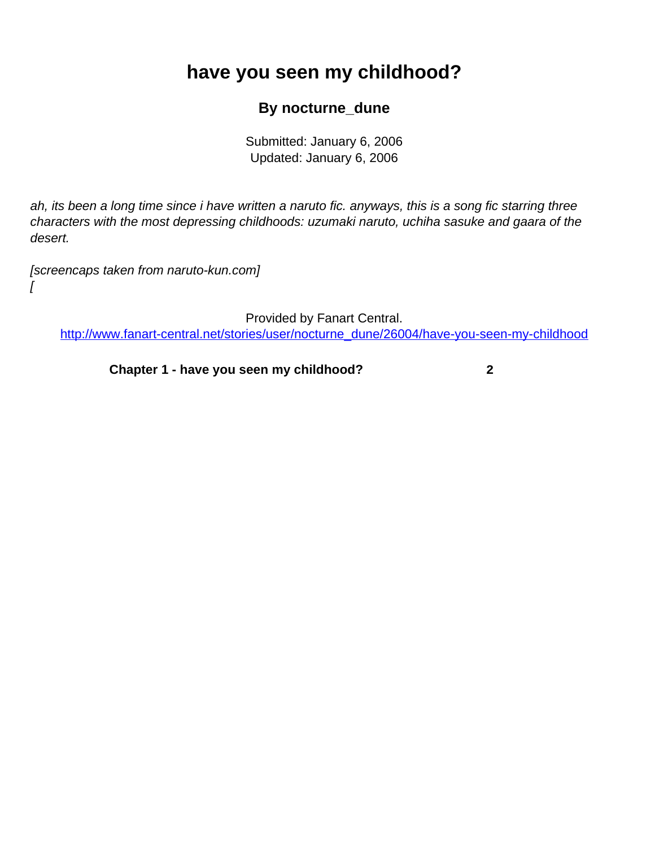## <span id="page-0-0"></span>**have you seen my childhood?**

## **By nocturne\_dune**

Submitted: January 6, 2006 Updated: January 6, 2006

ah, its been a long time since i have written a naruto fic. anyways, this is a song fic starring three characters with the most depressing childhoods: uzumaki naruto, uchiha sasuke and gaara of the desert.

[screencaps taken from naruto-kun.com]

 $\int$ 

Provided by Fanart Central.

[http://www.fanart-central.net/stories/user/nocturne\\_dune/26004/have-you-seen-my-childhood](#page-0-0)

**[Chapter 1 - have you seen my childhood?](#page-1-0) [2](#page-1-0)**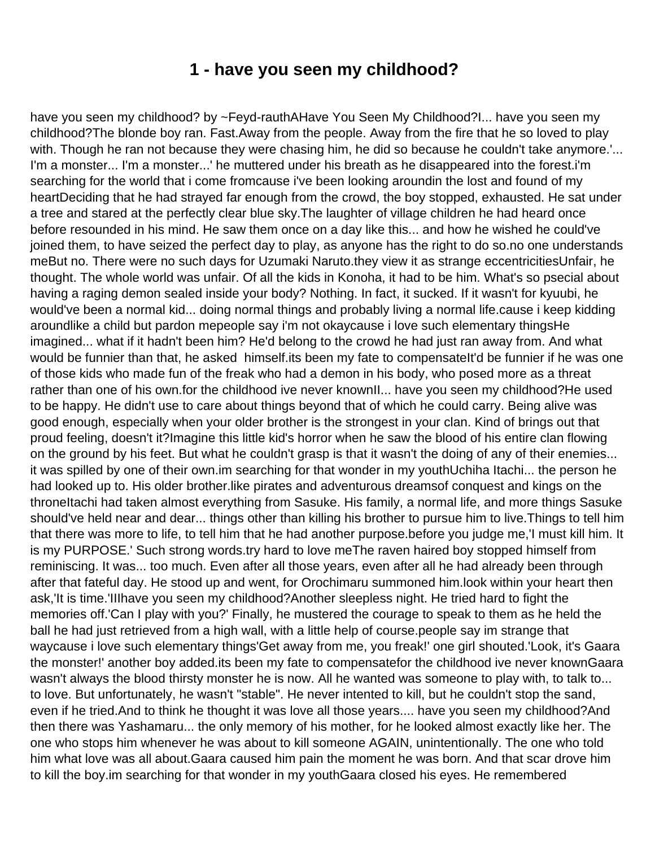## **1 - have you seen my childhood?**

<span id="page-1-0"></span>have you seen my childhood? by ~Feyd-rauthAHave You Seen My Childhood?I... have you seen my childhood?The blonde boy ran. Fast.Away from the people. Away from the fire that he so loved to play with. Though he ran not because they were chasing him, he did so because he couldn't take anymore.'... I'm a monster... I'm a monster...' he muttered under his breath as he disappeared into the forest.i'm searching for the world that i come fromcause i've been looking aroundin the lost and found of my heartDeciding that he had strayed far enough from the crowd, the boy stopped, exhausted. He sat under a tree and stared at the perfectly clear blue sky.The laughter of village children he had heard once before resounded in his mind. He saw them once on a day like this... and how he wished he could've joined them, to have seized the perfect day to play, as anyone has the right to do so.no one understands meBut no. There were no such days for Uzumaki Naruto.they view it as strange eccentricitiesUnfair, he thought. The whole world was unfair. Of all the kids in Konoha, it had to be him. What's so psecial about having a raging demon sealed inside your body? Nothing. In fact, it sucked. If it wasn't for kyuubi, he would've been a normal kid... doing normal things and probably living a normal life.cause i keep kidding aroundlike a child but pardon mepeople say i'm not okaycause i love such elementary thingsHe imagined... what if it hadn't been him? He'd belong to the crowd he had just ran away from. And what would be funnier than that, he asked himself.its been my fate to compensateIt'd be funnier if he was one of those kids who made fun of the freak who had a demon in his body, who posed more as a threat rather than one of his own.for the childhood ive never knownII... have you seen my childhood?He used to be happy. He didn't use to care about things beyond that of which he could carry. Being alive was good enough, especially when your older brother is the strongest in your clan. Kind of brings out that proud feeling, doesn't it?Imagine this little kid's horror when he saw the blood of his entire clan flowing on the ground by his feet. But what he couldn't grasp is that it wasn't the doing of any of their enemies... it was spilled by one of their own.im searching for that wonder in my youthUchiha Itachi... the person he had looked up to. His older brother.like pirates and adventurous dreamsof conquest and kings on the throneItachi had taken almost everything from Sasuke. His family, a normal life, and more things Sasuke should've held near and dear... things other than killing his brother to pursue him to live.Things to tell him that there was more to life, to tell him that he had another purpose.before you judge me,'I must kill him. It is my PURPOSE.' Such strong words.try hard to love meThe raven haired boy stopped himself from reminiscing. It was... too much. Even after all those years, even after all he had already been through after that fateful day. He stood up and went, for Orochimaru summoned him.look within your heart then ask,'It is time.'IIIhave you seen my childhood?Another sleepless night. He tried hard to fight the memories off.'Can I play with you?' Finally, he mustered the courage to speak to them as he held the ball he had just retrieved from a high wall, with a little help of course.people say im strange that waycause i love such elementary things'Get away from me, you freak!' one girl shouted.'Look, it's Gaara the monster!' another boy added.its been my fate to compensatefor the childhood ive never knownGaara wasn't always the blood thirsty monster he is now. All he wanted was someone to play with, to talk to... to love. But unfortunately, he wasn't "stable". He never intented to kill, but he couldn't stop the sand, even if he tried.And to think he thought it was love all those years.... have you seen my childhood?And then there was Yashamaru... the only memory of his mother, for he looked almost exactly like her. The one who stops him whenever he was about to kill someone AGAIN, unintentionally. The one who told him what love was all about.Gaara caused him pain the moment he was born. And that scar drove him to kill the boy.im searching for that wonder in my youthGaara closed his eyes. He remembered